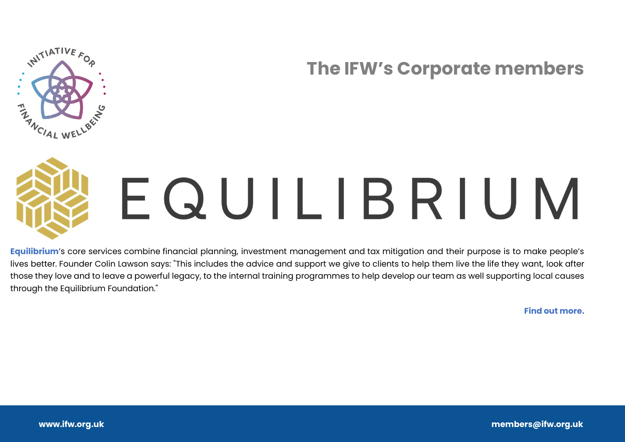



## EQUILIBRIUM

**[Equilibrium](https://equilibrium.co.uk/)**'s core services combine financial planning, investment management and tax mitigation and their purpose is to make people's lives better. Founder Colin Lawson says: "This includes the advice and support we give to clients to help them live the life they want, look after those they love and to leave a powerful legacy, to the internal training programmes to help develop our team as well supporting local causes through the Equilibrium Foundation."

**[Find out more.](https://equilibrium.co.uk/)**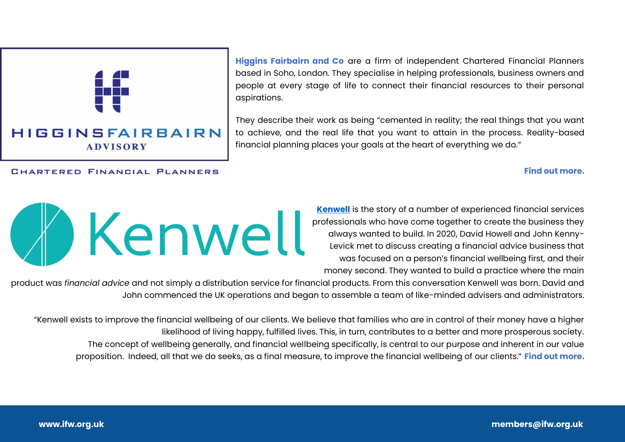## **HIGGINSFAIRBAIRN ADVISORY**

CHARTERED FINANCIAL PLANNERS

**[Higgins Fairbairn and Co](http://higginsfairbairn.co.uk/)** are a firm of independent Chartered Financial Planners based in Soho, London. They specialise in helping professionals, business owners and people at every stage of life to connect their financial resources to their personal aspirations.

They describe their work as being "cemented in reality; the real things that you want to achieve, and the real life that you want to attain in the process. Reality-based financial planning places your goals at the heart of everything we do."

> **[Kenwell](https://kenwell-flp.com/)** is the story of a number of experienced financial services professionals who have come together to create the business they always wanted to build. In 2020, David Howell and John Kenny-Levick met to discuss creating a financial advice business that was focused on a person's financial wellbeing first, and their money second. They wanted to build a practice where the main

product was *financial advice* and not simply a distribution service for financial products. From this conversation Kenwell was born. David and John commenced the UK operations and began to assemble a team of like-minded advisers and administrators.

"Kenwell exists to improve the financial wellbeing of our clients. We believe that families who are in control of their money have a higher likelihood of living happy, fulfilled lives. This, in turn, contributes to a better and more prosperous society. The concept of wellbeing generally, and financial wellbeing specifically, is central to our purpose and inherent in our value proposition. Indeed, all that we do seeks, as a final measure, to improve the financial wellbeing of our clients." **[Find out more.](https://kenwell-flp.com/)**

**[Find out more.](http://higginsfairbairn.co.uk/)**

## W Kenwell